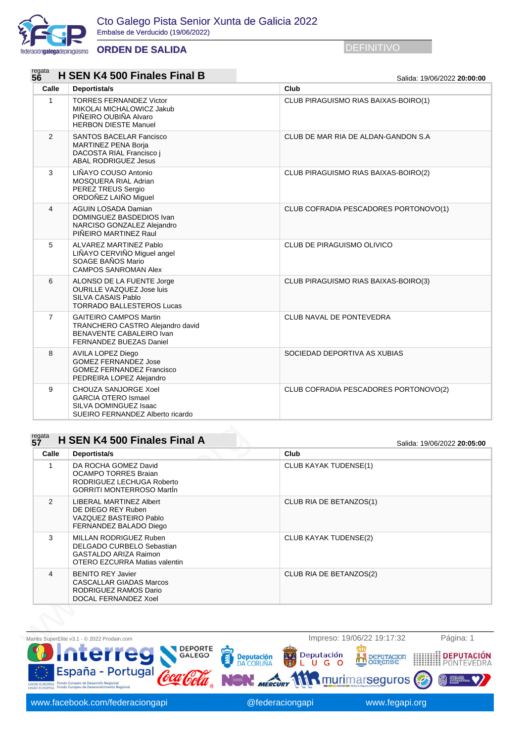

## **ORDEN DE SALIDA** DEFINITIVO

regata  $\overline{a}$   $\overline{a}$   $\overline{a}$   $\overline{a}$   $\overline{a}$   $\overline{a}$   $\overline{a}$   $\overline{a}$   $\overline{a}$   $\overline{a}$   $\overline{a}$   $\overline{a}$   $\overline{a}$   $\overline{a}$   $\overline{a}$   $\overline{a}$   $\overline{a}$   $\overline{a}$   $\overline{a}$   $\overline{a}$   $\overline{a}$   $\overline{a}$   $\overline{a}$   $\overline{a}$ 

| reyala<br>56   | <b>H SEN K4 500 Finales Final B</b>                                                                                      | Salida: 19/06/2022 20:00:00           |
|----------------|--------------------------------------------------------------------------------------------------------------------------|---------------------------------------|
| Calle          | Deportista/s                                                                                                             | Club                                  |
| $\mathbf{1}$   | <b>TORRES FERNANDEZ Victor</b><br>MIKOLAI MICHALOWICZ Jakub<br>PIÑEIRO OUBIÑA Alvaro<br><b>HERBON DIESTE Manuel</b>      | CLUB PIRAGUISMO RIAS BAIXAS-BOIRO(1)  |
| $\overline{2}$ | <b>SANTOS BACELAR Fancisco</b><br><b>MARTINEZ PENA Borja</b><br>DACOSTA RIAL Francisco i<br><b>ABAL RODRIGUEZ Jesus</b>  | CLUB DE MAR RIA DE ALDAN-GANDON S.A   |
| 3              | LIÑAYO COUSO Antonio<br>MOSQUERA RIAL Adrian<br>PEREZ TREUS Sergio<br>ORDOÑEZ LAIÑO Miguel                               | CLUB PIRAGUISMO RIAS BAIXAS-BOIRO(2)  |
| 4              | <b>AGUIN LOSADA Damian</b><br>DOMINGUEZ BASDEDIOS Ivan<br>NARCISO GONZALEZ Alejandro<br>PIÑEIRO MARTINEZ Raul            | CLUB COFRADIA PESCADORES PORTONOVO(1) |
| 5              | ALVAREZ MARTINEZ Pablo<br>LIÑAYO CERVIÑO Miguel angel<br>SOAGE BAÑOS Mario<br><b>CAMPOS SANROMAN Alex</b>                | CLUB DE PIRAGUISMO OLIVICO            |
| 6              | ALONSO DE LA FUENTE Jorge<br><b>OURILLE VAZQUEZ Jose luis</b><br>SILVA CASAIS Pablo<br><b>TORRADO BALLESTEROS Lucas</b>  | CLUB PIRAGUISMO RIAS BAIXAS-BOIRO(3)  |
| $\overline{7}$ | <b>GAITEIRO CAMPOS Martin</b><br>TRANCHERO CASTRO Alejandro david<br>BENAVENTE CABALEIRO Ivan<br>FERNANDEZ BUEZAS Daniel | CLUB NAVAL DE PONTEVEDRA              |
| 8              | AVILA LOPEZ Diego<br><b>GOMEZ FERNANDEZ Jose</b><br><b>GOMEZ FERNANDEZ Francisco</b><br>PEDREIRA LOPEZ Alejandro         | SOCIEDAD DEPORTIVA AS XUBIAS          |
| 9              | CHOUZA SANJORGE Xoel<br><b>GARCIA OTERO Ismael</b><br>SILVA DOMINGUEZ Isaac<br>SUEIRO FERNANDEZ Alberto ricardo          | CLUB COFRADIA PESCADORES PORTONOVO(2) |
| regata         | H SEN K4 500 Finales Final A                                                                                             |                                       |
| 5Ž             |                                                                                                                          | Salida: 19/06/2022 20:05:00           |
| Calle          | Deportista/s                                                                                                             | Club                                  |

## regata<br>**57 57 H SEN K4 500 Finales Final A** Salida: 19/06/2022 **20:05:00**

| Calle         | Deportista/s                                                                                                         | Club                    |
|---------------|----------------------------------------------------------------------------------------------------------------------|-------------------------|
| 1             | DA ROCHA GOMEZ David<br><b>OCAMPO TORRES Braian</b><br>RODRIGUEZ LECHUGA Roberto<br><b>GORRITI MONTERROSO Martin</b> | CLUB KAYAK TUDENSE(1)   |
| $\mathcal{P}$ | <b>LIBERAL MARTINEZ Albert</b><br>DE DIEGO REY Ruben<br>VAZQUEZ BASTEIRO Pablo<br>FERNANDEZ BALADO Diego             | CLUB RIA DE BETANZOS(1) |
| 3             | MILLAN RODRIGUEZ Ruben<br>DELGADO CURBELO Sebastian<br><b>GASTALDO ARIZA Raimon</b><br>OTERO EZCURRA Matias valentin | CLUB KAYAK TUDENSE(2)   |
| 4             | <b>BENITO REY Javier</b><br><b>CASCALLAR GIADAS Marcos</b><br>RODRIGUEZ RAMOS Dario<br>DOCAL FERNANDEZ Xoel          | CLUB RIA DE BETANZOS(2) |